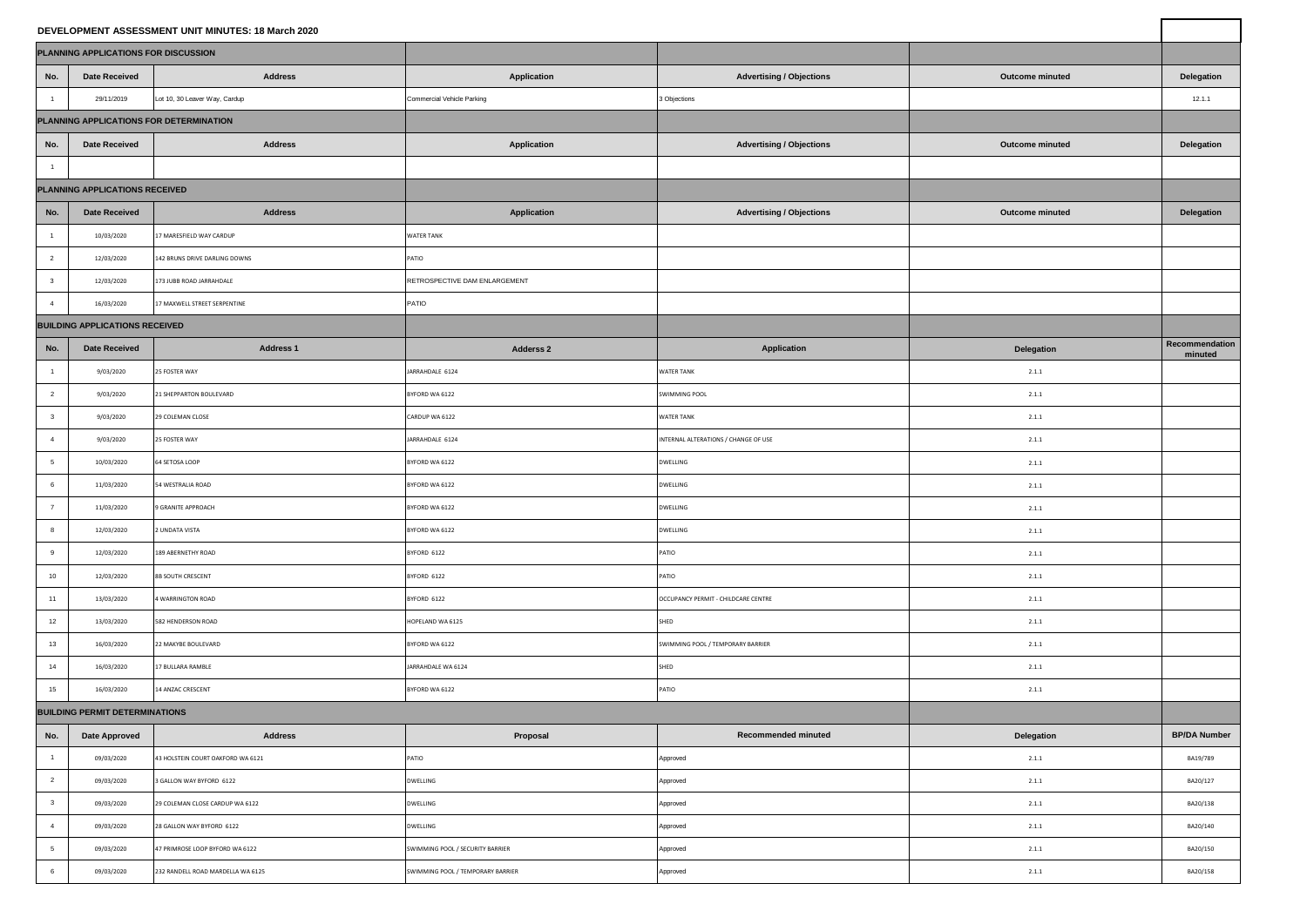| DEVELOPMENT ASSESSMENT UNIT MINUTES: 18 March 2020 |                                      |                                   |                                   |                                      |                 |                           |  |  |
|----------------------------------------------------|--------------------------------------|-----------------------------------|-----------------------------------|--------------------------------------|-----------------|---------------------------|--|--|
|                                                    | PLANNING APPLICATIONS FOR DISCUSSION |                                   |                                   |                                      |                 |                           |  |  |
| No.                                                | <b>Date Received</b>                 | <b>Address</b>                    | Application                       | <b>Advertising / Objections</b>      | Outcome minuted | Delegation                |  |  |
| 1                                                  | 29/11/2019                           | Lot 10, 30 Leaver Way, Cardup     | Commercial Vehicle Parking        | 3 Objections                         |                 | 12.1.1                    |  |  |
| PLANNING APPLICATIONS FOR DETERMINATION            |                                      |                                   |                                   |                                      |                 |                           |  |  |
| No.                                                | <b>Date Received</b>                 | <b>Address</b>                    | Application                       | <b>Advertising / Objections</b>      | Outcome minuted | Delegation                |  |  |
| $\mathbf{1}$                                       |                                      |                                   |                                   |                                      |                 |                           |  |  |
| PLANNING APPLICATIONS RECEIVED                     |                                      |                                   |                                   |                                      |                 |                           |  |  |
| No.                                                | <b>Date Received</b>                 | <b>Address</b>                    | Application                       | <b>Advertising / Objections</b>      | Outcome minuted | Delegation                |  |  |
| $\mathbf{1}$                                       | 10/03/2020                           | 17 MARESFIELD WAY CARDUP          | WATER TANK                        |                                      |                 |                           |  |  |
| $\overline{2}$                                     | 12/03/2020                           | 142 BRUNS DRIVE DARLING DOWNS     | PATIO                             |                                      |                 |                           |  |  |
| $\overline{\mathbf{3}}$                            | 12/03/2020                           | 173 JUBB ROAD JARRAHDALE          | RETROSPECTIVE DAM ENLARGEMENT     |                                      |                 |                           |  |  |
| 4                                                  | 16/03/2020                           | 17 MAXWELL STREET SERPENTINE      | PATIO                             |                                      |                 |                           |  |  |
| <b>BUILDING APPLICATIONS RECEIVED</b>              |                                      |                                   |                                   |                                      |                 |                           |  |  |
| No.                                                | <b>Date Received</b>                 | <b>Address 1</b>                  | <b>Adderss 2</b>                  | <b>Application</b>                   | Delegation      | Recommendation<br>minuted |  |  |
| $\mathbf{1}$                                       | 9/03/2020                            | 25 FOSTER WAY                     | JARRAHDALE 6124                   | <b>WATER TANK</b>                    | 2.1.1           |                           |  |  |
| $\overline{2}$                                     | 9/03/2020                            | 21 SHEPPARTON BOULEVARD           | BYFORD WA 6122                    | SWIMMING POOL                        | 2.1.1           |                           |  |  |
| $\mathbf 3$                                        | 9/03/2020                            | 29 COLEMAN CLOSE                  | CARDUP WA 6122                    | <b>WATER TANK</b>                    | 2.1.1           |                           |  |  |
| $\overline{4}$                                     | 9/03/2020                            | 25 FOSTER WAY                     | ARRAHDALE 6124                    | INTERNAL ALTERATIONS / CHANGE OF USE | 2.1.1           |                           |  |  |
| $5\phantom{.0}$                                    | 10/03/2020                           | 64 SETOSA LOOP                    | SYFORD WA 6122                    | DWELLING                             | 2.1.1           |                           |  |  |
| 6                                                  | 11/03/2020                           | 54 WESTRALIA ROAD                 | BYFORD WA 6122                    | DWELLING                             | 2.1.1           |                           |  |  |
| $\overline{7}$                                     | 11/03/2020                           | 9 GRANITE APPROACH                | BYFORD WA 6122                    | DWELLING                             | 2.1.1           |                           |  |  |
| 8                                                  | 12/03/2020                           | 2 UNDATA VISTA                    | BYFORD WA 6122                    | DWELLING                             | 2.1.1           |                           |  |  |
| $\mathbf 9$                                        | 12/03/2020                           | 189 ABERNETHY ROAD                | BYFORD 6122                       | PATIO                                | 2.1.1           |                           |  |  |
| 10 <sub>1</sub>                                    | 12/03/2020                           | <b>8B SOUTH CRESCENT</b>          | SYFORD 6122                       | PATIO                                | 2.1.1           |                           |  |  |
| 11                                                 | 13/03/2020                           | <b>WARRINGTON ROAD</b>            | BYFORD 6122                       | OCCUPANCY PERMIT - CHILDCARE CENTRE  | 2.1.1           |                           |  |  |
| 12                                                 | 13/03/2020                           | 582 HENDERSON ROAD                | OPELAND WA 6125                   | SHED                                 | 2.1.1           |                           |  |  |
| 13                                                 | 16/03/2020                           | 22 MAKYBE BOULEVARD               | BYFORD WA 6122                    | SWIMMING POOL / TEMPORARY BARRIER    | 2.1.1           |                           |  |  |
| 14                                                 | 16/03/2020                           | 17 BULLARA RAMBLE                 | ARRAHDALE WA 6124                 | SHED                                 | 2.1.1           |                           |  |  |
| 15                                                 | 16/03/2020                           | 14 ANZAC CRESCENT                 | BYFORD WA 6122                    | PATIO                                | 2.1.1           |                           |  |  |
| <b>BUILDING PERMIT DETERMINATIONS</b>              |                                      |                                   |                                   |                                      |                 |                           |  |  |
| No.                                                | <b>Date Approved</b>                 | <b>Address</b>                    | Proposal                          | Recommended minuted                  | Delegation      | <b>BP/DA Number</b>       |  |  |
| 1                                                  | 09/03/2020                           | 43 HOLSTEIN COURT OAKFORD WA 6121 | PATIO                             | Approved                             | 2.1.1           | BA19/789                  |  |  |
| $\overline{2}$                                     | 09/03/2020                           | <b>GALLON WAY BYFORD 6122</b>     | DWELLING                          | Approved                             | 2.1.1           | BA20/127                  |  |  |
| $_{3}$                                             | 09/03/2020                           | 29 COLEMAN CLOSE CARDUP WA 6122   | DWELLING                          | Approved                             | 2.1.1           | BA20/138                  |  |  |
| $\overline{4}$                                     | 09/03/2020                           | 28 GALLON WAY BYFORD 6122         | DWELLING                          | Approved                             | 2.1.1           | BA20/140                  |  |  |
| $\overline{5}$                                     | 09/03/2020                           | 47 PRIMROSE LOOP BYFORD WA 6122   | SWIMMING POOL / SECURITY BARRIER  | Approved                             | 2.1.1           | BA20/150                  |  |  |
| $\,$ 6                                             | 09/03/2020                           | 232 RANDELL ROAD MARDELLA WA 6125 | SWIMMING POOL / TEMPORARY BARRIER | Approved                             | 2.1.1           | BA20/158                  |  |  |